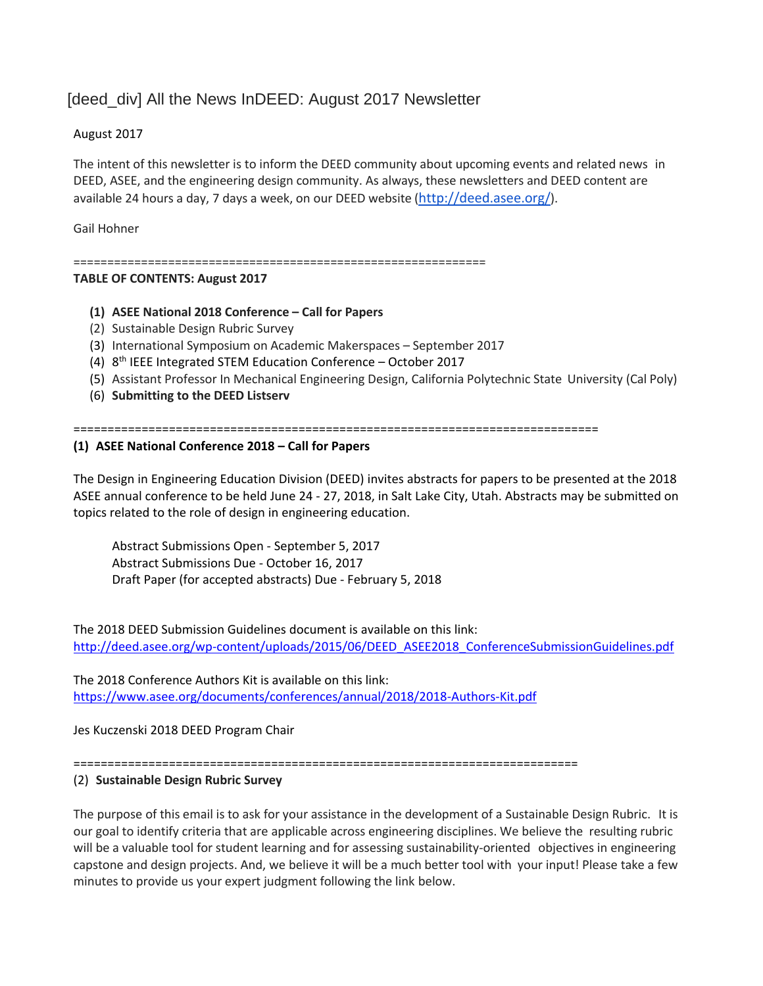# [deed\_div] All the News InDEED: August 2017 Newsletter

# August 2017

The intent of this newsletter is to inform the DEED community about upcoming events and related news in DEED, ASEE, and the engineering design community. As always, these newsletters and DEED content are available 24 hours a day, 7 days a week, on our DEED website (<http://deed.asee.org/>).

Gail Hohner

=============================================================

### **TABLE OF CONTENTS: August 2017**

- **(1) ASEE National 2018 Conference – Call for Papers**
- (2) Sustainable Design Rubric Survey
- (3) International Symposium on Academic Makerspaces September 2017
- (4) 8<sup>th</sup> IEEE Integrated STEM Education Conference October 2017
- (5) Assistant Professor In Mechanical Engineering Design, California Polytechnic State University (Cal Poly)
- (6) **Submitting to the DEED Listserv**

=============================================================================

### **(1) ASEE National Conference 2018 – Call for Papers**

The Design in Engineering Education Division (DEED) invites abstracts for papers to be presented at the 2018 ASEE annual conference to be held June 24 - 27, 2018, in Salt Lake City, Utah. Abstracts may be submitted on topics related to the role of design in engineering education.

Abstract Submissions Open - September 5, 2017 Abstract Submissions Due - October 16, 2017 Draft Paper (for accepted abstracts) Due - February 5, 2018

The 2018 DEED Submission Guidelines document is available on this link: [http://deed.asee.org/wp-content/uploads/2015/06/DEED\\_ASEE2018\\_ConferenceSubmissionGuidelines.pdf](http://deed.asee.org/wp-content/uploads/2015/06/DEED_ASEE2018_ConferenceSubmissionGuidelines.pdf)

The 2018 Conference Authors Kit is available on this link: <https://www.asee.org/documents/conferences/annual/2018/2018-Authors-Kit.pdf>

Jes Kuczenski 2018 DEED Program Chair

==========================================================================

#### (2) **Sustainable Design Rubric Survey**

The purpose of this email is to ask for your assistance in the development of a Sustainable Design Rubric. It is our goal to identify criteria that are applicable across engineering disciplines. We believe the resulting rubric will be a valuable tool for student learning and for assessing sustainability-oriented objectives in engineering capstone and design projects. And, we believe it will be a much better tool with your input! Please take a few minutes to provide us your expert judgment following the link below.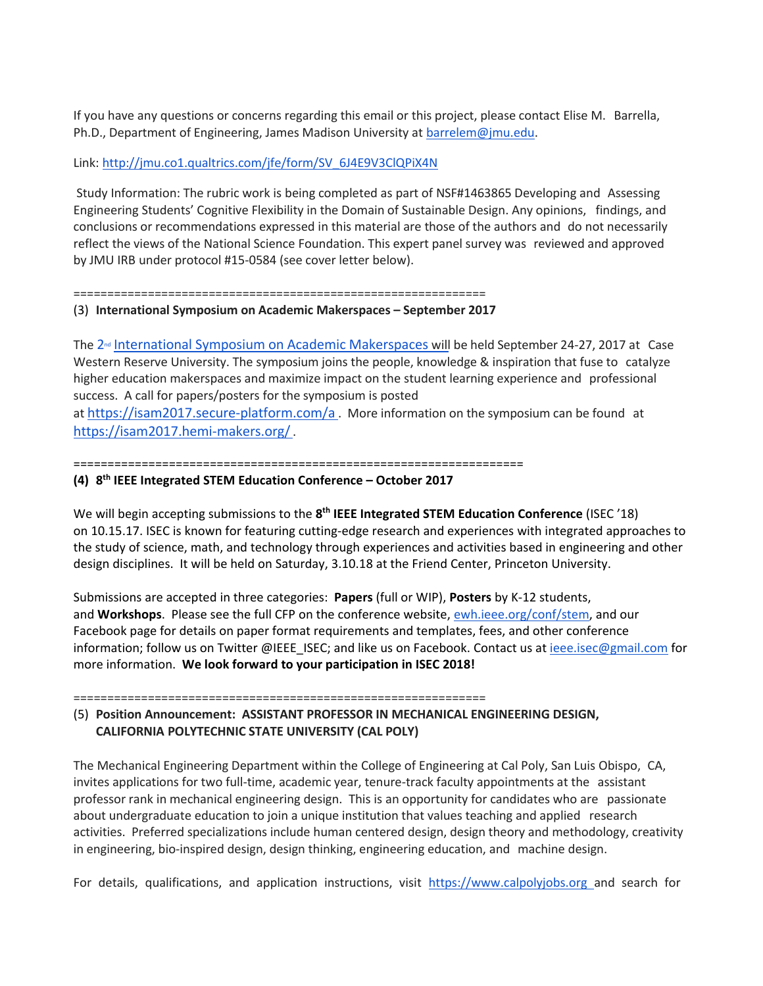If you have any questions or concerns regarding this email or this project, please contact Elise M. Barrella, Ph.D., Department of Engineering, James Madison University at [barrelem@jmu.edu.](mailto:barrelem@jmu.edu)

### Link: [http://jmu.co1.qualtrics.com/jfe/form/SV\\_6J4E9V3ClQPiX4N](http://jmu.co1.qualtrics.com/jfe/form/SV_6J4E9V3ClQPiX4N)

Study Information: The rubric work is being completed as part of NSF#1463865 Developing and Assessing Engineering Students' Cognitive Flexibility in the Domain of Sustainable Design. Any opinions, findings, and conclusions or recommendations expressed in this material are those of the authors and do not necessarily reflect the views of the National Science Foundation. This expert panel survey was reviewed and approved by JMU IRB under protocol #15-0584 (see cover letter below).

=============================================================

#### (3) **International Symposium on Academic Makerspaces – September 2017**

The 2<sup>nd</sup> [International Symposium](https://isam2017.hemi-makers.org/) on Academic Makerspaces will be held September 24-27, 2017 at Case Western Reserve University. The symposium joins the people, knowledge & inspiration that fuse to catalyze higher education makerspaces and maximize impact on the student learning experience and professional success. A call for papers/posters for the symposium is posted

at <https://isam2017.secure-platform.com/a> . More information on the symposium can be found at <https://isam2017.hemi-makers.org/>.

#### ==================================================================

### **(4) 8 th IEEE Integrated STEM Education Conference – October 2017**

We will begin accepting submissions to the 8<sup>th</sup> IEEE Integrated STEM Education Conference (ISEC '18) on 10.15.17. ISEC is known for featuring cutting-edge research and experiences with integrated approaches to the study of science, math, and technology through experiences and activities based in engineering and other design disciplines. It will be held on Saturday, 3.10.18 at the Friend Center, Princeton University.

Submissions are accepted in three categories: **Papers** (full or WIP), **Posters** by K-12 students, and **Workshops**. Please see the full CFP on the conference website, [ewh.ieee.org/conf/stem,](http://ewh.ieee.org/conf/stem) and our Facebook page for details on paper format requirements and templates, fees, and other conference information; follow us on Twitter @IEEE\_ISEC; and like us on Facebook. Contact us at [ieee.isec@gmail.com](mailto:ieee.isec@gmail.com) for more information. **We look forward to your participation in ISEC 2018!**

=============================================================

## (5) **Position Announcement: ASSISTANT PROFESSOR IN MECHANICAL ENGINEERING DESIGN, CALIFORNIA POLYTECHNIC STATE UNIVERSITY (CAL POLY)**

The Mechanical Engineering Department within the College of Engineering at Cal Poly, San Luis Obispo, CA, invites applications for two full-time, academic year, tenure-track faculty appointments at the assistant professor rank in mechanical engineering design. This is an opportunity for candidates who are passionate about undergraduate education to join a unique institution that values teaching and applied research activities. Preferred specializations include human centered design, design theory and methodology, creativity in engineering, bio-inspired design, design thinking, engineering education, and machine design.

For details, qualifications, and application instructions, visit [https://www.calpolyjobs.org](https://www.calpolyjobs.org/) and search for